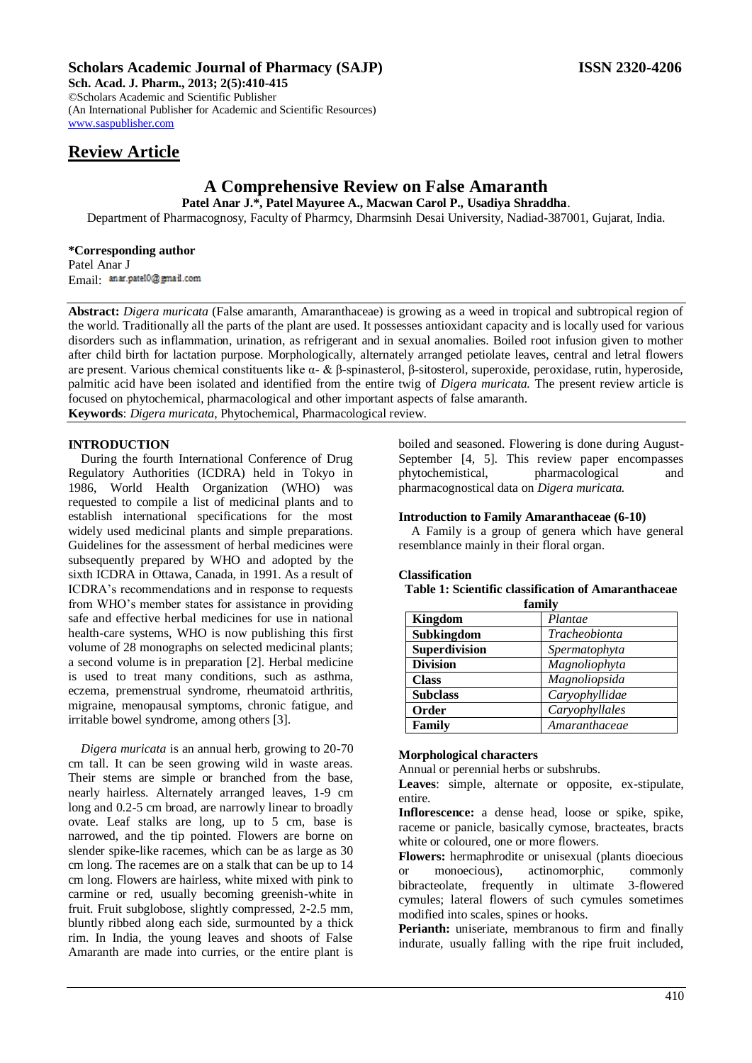# **Scholars Academic Journal of Pharmacy (SAJP) ISSN 2320-4206**

**Sch. Acad. J. Pharm., 2013; 2(5):410-415** ©Scholars Academic and Scientific Publisher (An International Publisher for Academic and Scientific Resources) [www.saspublisher.com](http://www.saspublisher.com/) 

# **Review Article**

# **A Comprehensive Review on False Amaranth**

**Patel Anar J.\*, Patel Mayuree A., Macwan Carol P., Usadiya Shraddha**.

Department of Pharmacognosy, Faculty of Pharmcy, Dharmsinh Desai University, Nadiad-387001, Gujarat, India.

## **\*Corresponding author** Patel Anar J Email: anar.pate10@gmail.com

**Abstract:** *Digera muricata* (False amaranth, Amaranthaceae) is growing as a weed in tropical and subtropical region of the world. Traditionally all the parts of the plant are used. It possesses antioxidant capacity and is locally used for various disorders such as inflammation, urination, as refrigerant and in sexual anomalies. Boiled root infusion given to mother after child birth for lactation purpose. Morphologically, alternately arranged petiolate leaves, central and letral flowers are present. Various chemical constituents like α- & β-spinasterol, β-sitosterol, superoxide, peroxidase, rutin, hyperoside, palmitic acid have been isolated and identified from the entire twig of *Digera muricata.* The present review article is focused on phytochemical, pharmacological and other important aspects of false amaranth. **Keywords**: *Digera muricata*, Phytochemical, Pharmacological review.

# **INTRODUCTION**

During the fourth International Conference of Drug Regulatory Authorities (ICDRA) held in Tokyo in 1986, World Health Organization (WHO) was requested to compile a list of medicinal plants and to establish international specifications for the most widely used medicinal plants and simple preparations. Guidelines for the assessment of herbal medicines were subsequently prepared by WHO and adopted by the sixth ICDRA in Ottawa, Canada, in 1991. As a result of ICDRA's recommendations and in response to requests from WHO's member states for assistance in providing safe and effective herbal medicines for use in national health-care systems, WHO is now publishing this first volume of 28 monographs on selected medicinal plants; a second volume is in preparation [2]. Herbal medicine is used to treat many conditions, such as asthma, eczema, premenstrual syndrome, rheumatoid arthritis, migraine, menopausal symptoms, chronic fatigue, and irritable bowel syndrome, among others [3].

*Digera muricata* is an annual herb, growing to 20-70 cm tall. It can be seen growing wild in waste areas. Their stems are simple or branched from the base, nearly hairless. Alternately arranged leaves, 1-9 cm long and 0.2-5 cm broad, are narrowly linear to broadly ovate. Leaf stalks are long, up to 5 cm, base is narrowed, and the tip pointed. Flowers are borne on slender spike-like racemes, which can be as large as 30 cm long. The racemes are on a stalk that can be up to 14 cm long. Flowers are hairless, white mixed with pink to carmine or red, usually becoming greenish-white in fruit. Fruit subglobose, slightly compressed, 2-2.5 mm, bluntly ribbed along each side, surmounted by a thick rim. In India, the young leaves and shoots of False Amaranth are made into curries, or the entire plant is

boiled and seasoned. Flowering is done during August-September [4, 5]. This review paper encompasses phytochemistical, pharmacological and pharmacognostical data on *Digera muricata.*

# **Introduction to Family Amaranthaceae (6-10)**

A Family is a group of genera which have general resemblance mainly in their floral organ.

# **Classification**

**Table 1: Scientific classification of Amaranthaceae family**

| паппи у              |                |  |
|----------------------|----------------|--|
| <b>Kingdom</b>       | Plantae        |  |
| Subkingdom           | Tracheobionta  |  |
| <b>Superdivision</b> | Spermatophyta  |  |
| <b>Division</b>      | Magnoliophyta  |  |
| <b>Class</b>         | Magnoliopsida  |  |
| <b>Subclass</b>      | Caryophyllidae |  |
| Order                | Caryophyllales |  |
| Family               | Amaranthaceae  |  |

# **Morphological characters**

Annual or perennial herbs or subshrubs.

**Leaves**: simple, alternate or opposite, ex-stipulate, entire.

**Inflorescence:** a dense head, loose or spike, spike, raceme or panicle, basically cymose, bracteates, bracts white or coloured, one or more flowers.

**Flowers:** hermaphrodite or unisexual (plants dioecious or monoecious), actinomorphic, commonly bibracteolate, frequently in ultimate 3-flowered cymules; lateral flowers of such cymules sometimes modified into scales, spines or hooks.

**Perianth:** uniseriate, membranous to firm and finally indurate, usually falling with the ripe fruit included,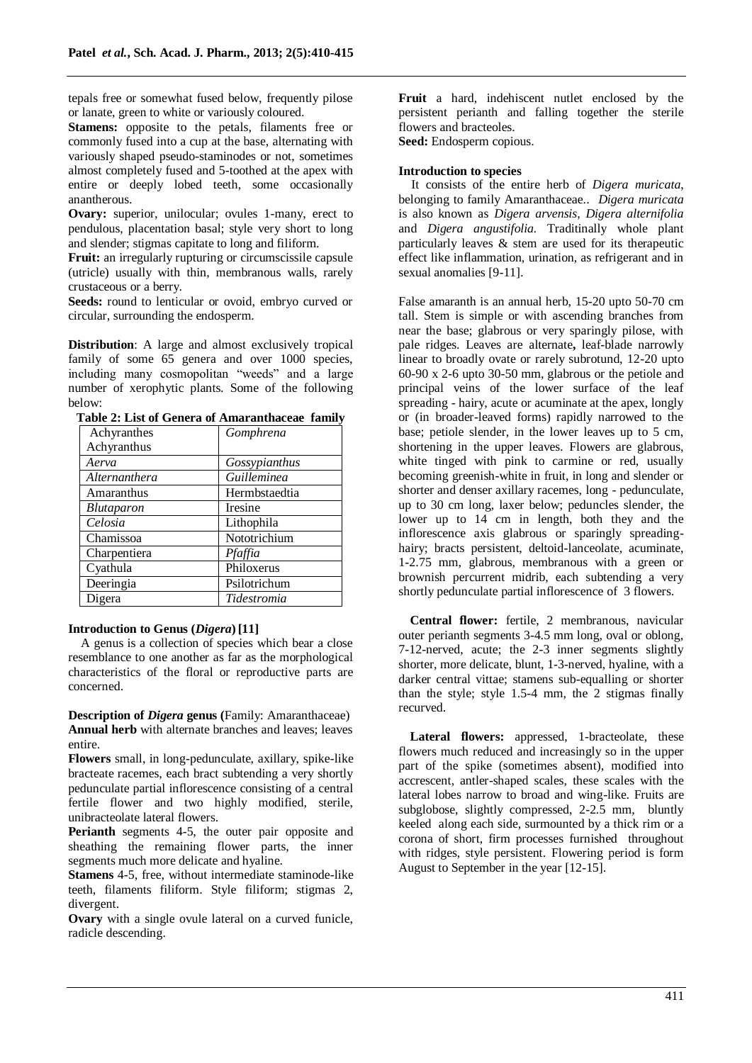tepals free or somewhat fused below, frequently pilose or lanate, green to white or variously coloured.

**Stamens:** opposite to the petals, filaments free or commonly fused into a cup at the base, alternating with variously shaped pseudo-staminodes or not, sometimes almost completely fused and 5-toothed at the apex with entire or deeply lobed teeth, some occasionally anantherous.

**Ovary:** superior, unilocular; ovules 1-many, erect to pendulous, placentation basal; style very short to long and slender; stigmas capitate to long and filiform.

**Fruit:** an irregularly rupturing or circumscissile capsule (utricle) usually with thin, membranous walls, rarely crustaceous or a berry.

**Seeds:** round to lenticular or ovoid, embryo curved or circular, surrounding the endosperm.

**Distribution**: A large and almost exclusively tropical family of some 65 genera and over 1000 species, including many cosmopolitan "weeds" and a large number of xerophytic plants. Some of the following below:

|                            | Table 2. List of Genera of Amaranthaceae Tannis |
|----------------------------|-------------------------------------------------|
| Achyranthes<br>Achyranthus | Gomphrena                                       |
|                            |                                                 |
| Aerva                      | Gossypianthus                                   |
| Alternanthera              | <i>Guilleminea</i>                              |
| Amaranthus                 | Hermbstaedtia                                   |
| <b>Blutaparon</b>          | Iresine                                         |
| Celosia                    | Lithophila                                      |
| Chamissoa                  | Nototrichium                                    |
| Charpentiera               | Pfaffia                                         |
| Cyathula                   | Philoxerus                                      |
| Deeringia                  | Psilotrichum                                    |
| Digera                     | Tidestromia                                     |
|                            |                                                 |

**Table 2: List of Genera of Amaranthaceae family**

# **Introduction to Genus (***Digera***) [11]**

A genus is a collection of species which bear a close resemblance to one another as far as the morphological characteristics of the floral or reproductive parts are concerned.

**Description of** *Digera* **genus (**Family: Amaranthaceae) **Annual herb** with alternate branches and leaves; leaves entire.

**Flowers** small, in long-pedunculate, axillary, spike-like bracteate racemes, each bract subtending a very shortly pedunculate partial inflorescence consisting of a central fertile flower and two highly modified, sterile, unibracteolate lateral flowers.

**Perianth** segments 4-5, the outer pair opposite and sheathing the remaining flower parts, the inner segments much more delicate and hyaline.

**Stamens** 4-5, free, without intermediate staminode-like teeth, filaments filiform. Style filiform; stigmas 2, divergent.

**Ovary** with a single ovule lateral on a curved funicle, radicle descending.

**Fruit** a hard, indehiscent nutlet enclosed by the persistent perianth and falling together the sterile flowers and bracteoles.

**Seed:** Endosperm copious.

# **Introduction to species**

It consists of the entire herb of *Digera muricata*, belonging to family Amaranthaceae.. *Digera muricata*  is also known as *Digera arvensis, Digera alternifolia*  and *Digera angustifolia.* Traditinally whole plant particularly leaves & stem are used for its therapeutic effect like inflammation, urination, as refrigerant and in sexual anomalies [9-11].

False amaranth is an annual herb, 15-20 upto 50-70 cm tall. Stem is simple or with ascending branches from near the base; glabrous or very sparingly pilose, with pale ridges. Leaves are alternate**,** leaf-blade narrowly linear to broadly ovate or rarely subrotund, 12-20 upto 60-90 x 2-6 upto 30-50 mm, glabrous or the petiole and principal veins of the lower surface of the leaf spreading - hairy, acute or acuminate at the apex, longly or (in broader-leaved forms) rapidly narrowed to the base; petiole slender, in the lower leaves up to 5 cm, shortening in the upper leaves. Flowers are glabrous, white tinged with pink to carmine or red, usually becoming greenish-white in fruit, in long and slender or shorter and denser axillary racemes, long - pedunculate, up to 30 cm long, laxer below; peduncles slender, the lower up to 14 cm in length, both they and the inflorescence axis glabrous or sparingly spreadinghairy; bracts persistent, deltoid-lanceolate, acuminate, 1-2.75 mm, glabrous, membranous with a green or brownish percurrent midrib, each subtending a very shortly pedunculate partial inflorescence of 3 flowers.

**Central flower:** fertile, 2 membranous, navicular outer perianth segments 3-4.5 mm long, oval or oblong, 7-12-nerved, acute; the 2-3 inner segments slightly shorter, more delicate, blunt, 1-3-nerved, hyaline, with a darker central vittae; stamens sub-equalling or shorter than the style; style 1.5-4 mm, the 2 stigmas finally recurved.

**Lateral flowers:** appressed, 1-bracteolate, these flowers much reduced and increasingly so in the upper part of the spike (sometimes absent), modified into accrescent, antler-shaped scales, these scales with the lateral lobes narrow to broad and wing-like. Fruits are subglobose, slightly compressed, 2-2.5 mm, bluntly keeled along each side, surmounted by a thick rim or a corona of short, firm processes furnished throughout with ridges, style persistent. Flowering period is form August to September in the year [12-15].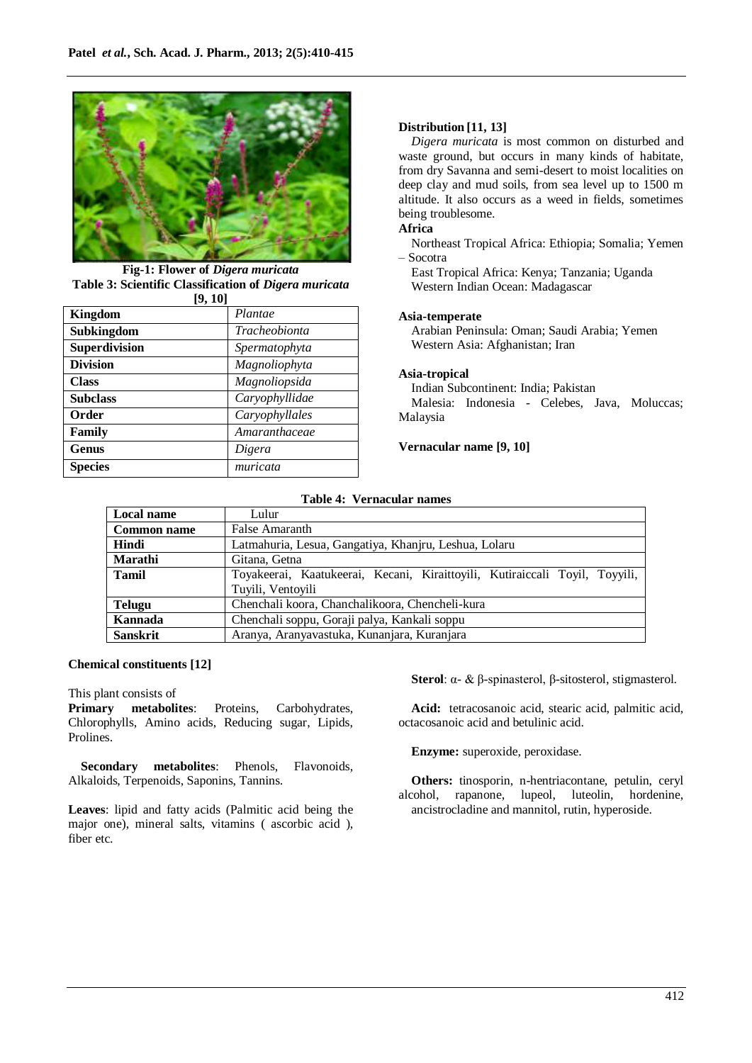

**Fig-1: Flower of** *Digera muricata* **Table 3: Scientific Classification of** *Digera muricata* **[9, 10]**

| 17, IVI         |                |
|-----------------|----------------|
| <b>Kingdom</b>  | Plantae        |
| Subkingdom      | Tracheobionta  |
| Superdivision   | Spermatophyta  |
| <b>Division</b> | Magnoliophyta  |
| <b>Class</b>    | Magnoliopsida  |
| <b>Subclass</b> | Caryophyllidae |
| Order           | Caryophyllales |
| Family          | Amaranthaceae  |
| <b>Genus</b>    | Digera         |
| <b>Species</b>  | muricata       |

## **Distribution [11, 13]**

*Digera muricata* is most common on disturbed and waste ground, but occurs in many kinds of habitate, from dry Savanna and semi-desert to moist localities on deep clay and mud soils, from sea level up to 1500 m altitude. It also occurs as a weed in fields, sometimes being troublesome.

# **Africa**

Northeast Tropical Africa: Ethiopia; Somalia; Yemen – Socotra

East Tropical Africa: Kenya; Tanzania; Uganda Western Indian Ocean: Madagascar

## **Asia-temperate**

Arabian Peninsula: Oman; Saudi Arabia; Yemen Western Asia: Afghanistan; Iran

#### **Asia-tropical**

Indian Subcontinent: India; Pakistan

Malesia: Indonesia - Celebes, Java, Moluccas; Malaysia

#### **Vernacular name [9, 10]**

#### **Table 4: Vernacular names**

| Local name         | Lulur                                                                       |  |
|--------------------|-----------------------------------------------------------------------------|--|
| <b>Common name</b> | False Amaranth                                                              |  |
| Hindi              | Latmahuria, Lesua, Gangatiya, Khanjru, Leshua, Lolaru                       |  |
| <b>Marathi</b>     | Gitana, Getna                                                               |  |
| <b>Tamil</b>       | Toyakeerai, Kaatukeerai, Kecani, Kiraittoyili, Kutiraiccali Toyil, Toyyili, |  |
|                    | Tuyili, Ventoyili                                                           |  |
| <b>Telugu</b>      | Chenchali koora, Chanchalikoora, Chencheli-kura                             |  |
| Kannada            | Chenchali soppu, Goraji palya, Kankali soppu                                |  |
| <b>Sanskrit</b>    | Aranya, Aranyavastuka, Kunanjara, Kuranjara                                 |  |

#### **Chemical constituents [12]**

This plant consists of

**Primary metabolites**: Proteins, Carbohydrates, Chlorophylls, Amino acids, Reducing sugar, Lipids, Prolines.

**Secondary metabolites**: Phenols, Flavonoids, Alkaloids, Terpenoids, Saponins, Tannins.

**Leaves**: lipid and fatty acids (Palmitic acid being the major one), mineral salts, vitamins ( ascorbic acid ), fiber etc.

**Sterol**: α- & β-spinasterol, β-sitosterol, stigmasterol.

**Acid:** tetracosanoic acid, stearic acid, palmitic acid, octacosanoic acid and betulinic acid.

**Enzyme:** superoxide, peroxidase.

**Others:** tinosporin, n-hentriacontane, petulin, ceryl alcohol, rapanone, lupeol, luteolin, hordenine, ancistrocladine and mannitol, rutin, hyperoside.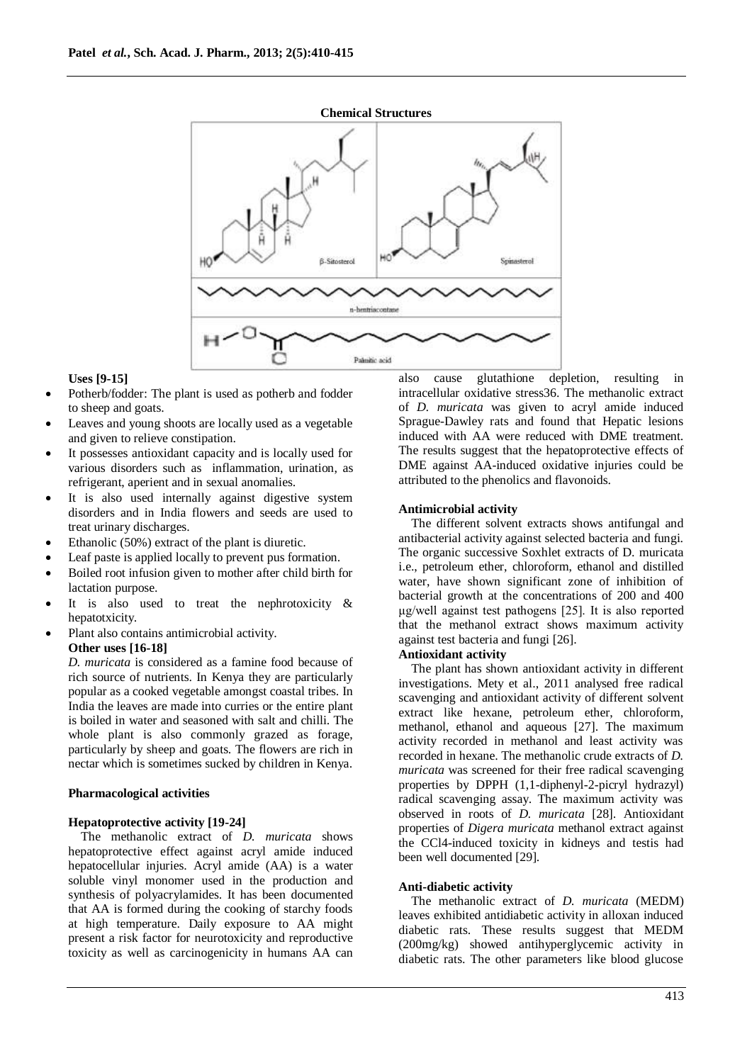

## **Uses [9-15]**

- Potherb/fodder: The plant is used as potherb and fodder to sheep and goats.
- Leaves and young shoots are locally used as a vegetable and given to relieve constipation.
- It possesses antioxidant capacity and is locally used for various disorders such as inflammation, urination, as refrigerant, aperient and in sexual anomalies.
- It is also used internally against digestive system disorders and in India flowers and seeds are used to treat urinary discharges.
- Ethanolic (50%) extract of the plant is diuretic.
- Leaf paste is applied locally to prevent pus formation.
- Boiled root infusion given to mother after child birth for lactation purpose.
- It is also used to treat the nephrotoxicity & hepatotxicity.
- Plant also contains antimicrobial activity.

# **Other uses [16-18]**

*D. muricata* is considered as a famine food because of rich source of nutrients. In Kenya they are particularly popular as a cooked vegetable amongst coastal tribes. In India the leaves are made into curries or the entire plant is boiled in water and seasoned with salt and chilli. The whole plant is also commonly grazed as forage, particularly by sheep and goats. The flowers are rich in nectar which is sometimes sucked by children in Kenya.

## **Pharmacological activities**

# **Hepatoprotective activity [19-24]**

The methanolic extract of *D. muricata* shows hepatoprotective effect against acryl amide induced hepatocellular injuries. Acryl amide (AA) is a water soluble vinyl monomer used in the production and synthesis of polyacrylamides. It has been documented that AA is formed during the cooking of starchy foods at high temperature. Daily exposure to AA might present a risk factor for neurotoxicity and reproductive toxicity as well as carcinogenicity in humans AA can also cause glutathione depletion, resulting in intracellular oxidative stress36. The methanolic extract of *D. muricata* was given to acryl amide induced Sprague-Dawley rats and found that Hepatic lesions induced with AA were reduced with DME treatment. The results suggest that the hepatoprotective effects of DME against AA-induced oxidative injuries could be attributed to the phenolics and flavonoids.

#### **Antimicrobial activity**

The different solvent extracts shows antifungal and antibacterial activity against selected bacteria and fungi. The organic successive Soxhlet extracts of D. muricata i.e., petroleum ether, chloroform, ethanol and distilled water, have shown significant zone of inhibition of bacterial growth at the concentrations of 200 and 400 μg/well against test pathogens [25]. It is also reported that the methanol extract shows maximum activity against test bacteria and fungi [26].

# **Antioxidant activity**

The plant has shown antioxidant activity in different investigations. Mety et al., 2011 analysed free radical scavenging and antioxidant activity of different solvent extract like hexane, petroleum ether, chloroform, methanol, ethanol and aqueous [27]. The maximum activity recorded in methanol and least activity was recorded in hexane. The methanolic crude extracts of *D. muricata* was screened for their free radical scavenging properties by DPPH (1,1-diphenyl-2-picryl hydrazyl) radical scavenging assay. The maximum activity was observed in roots of *D. muricata* [28]. Antioxidant properties of *Digera muricata* methanol extract against the CCl4-induced toxicity in kidneys and testis had been well documented [29].

## **Anti-diabetic activity**

The methanolic extract of *D. muricata* (MEDM) leaves exhibited antidiabetic activity in alloxan induced diabetic rats. These results suggest that MEDM (200mg/kg) showed antihyperglycemic activity in diabetic rats. The other parameters like blood glucose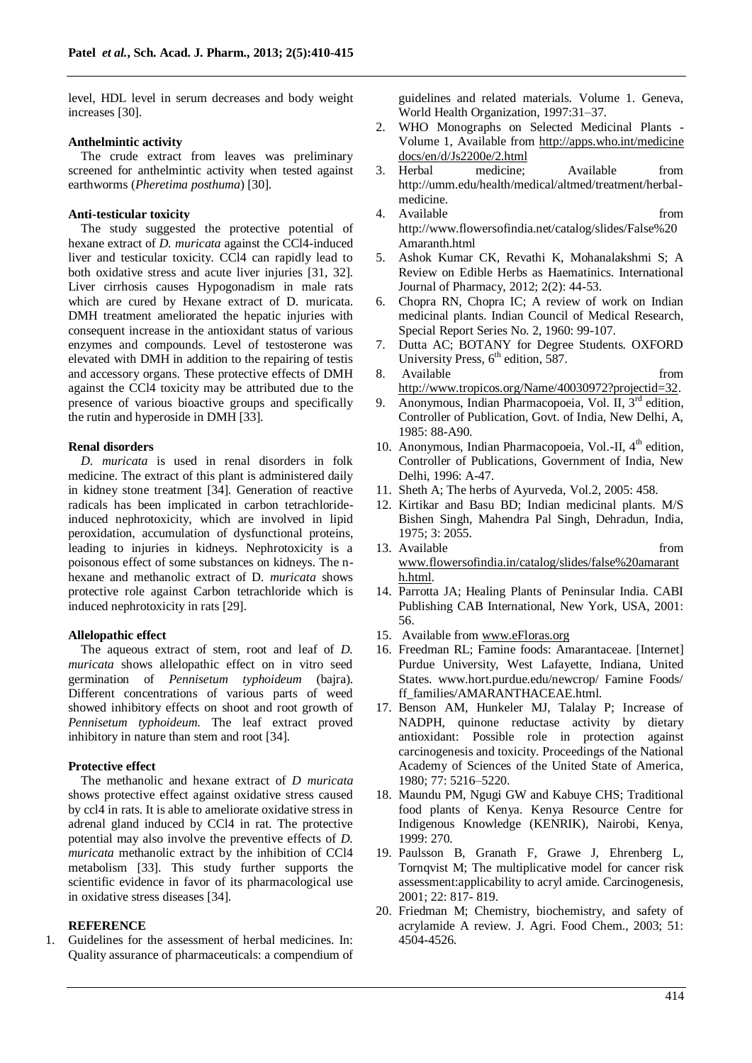level, HDL level in serum decreases and body weight increases [30].

#### **Anthelmintic activity**

The crude extract from leaves was preliminary screened for anthelmintic activity when tested against earthworms (*Pheretima posthuma*) [30].

# **Anti-testicular toxicity**

The study suggested the protective potential of hexane extract of *D. muricata* against the CCl4-induced liver and testicular toxicity. CCl4 can rapidly lead to both oxidative stress and acute liver injuries [31, 32]. Liver cirrhosis causes Hypogonadism in male rats which are cured by Hexane extract of D. muricata. DMH treatment ameliorated the hepatic injuries with consequent increase in the antioxidant status of various enzymes and compounds. Level of testosterone was elevated with DMH in addition to the repairing of testis and accessory organs. These protective effects of DMH against the CCl4 toxicity may be attributed due to the presence of various bioactive groups and specifically the rutin and hyperoside in DMH [33].

#### **Renal disorders**

*D. muricata* is used in renal disorders in folk medicine. The extract of this plant is administered daily in kidney stone treatment [34]. Generation of reactive radicals has been implicated in carbon tetrachlorideinduced nephrotoxicity, which are involved in lipid peroxidation, accumulation of dysfunctional proteins, leading to injuries in kidneys. Nephrotoxicity is a poisonous effect of some substances on kidneys. The nhexane and methanolic extract of D*. muricata* shows protective role against Carbon tetrachloride which is induced nephrotoxicity in rats [29].

#### **Allelopathic effect**

The aqueous extract of stem, root and leaf of *D. muricata* shows allelopathic effect on in vitro seed germination of *Pennisetum typhoideum* (bajra). Different concentrations of various parts of weed showed inhibitory effects on shoot and root growth of *Pennisetum typhoideum*. The leaf extract proved inhibitory in nature than stem and root [34].

## **Protective effect**

The methanolic and hexane extract of *D muricata*  shows protective effect against oxidative stress caused by ccl4 in rats. It is able to ameliorate oxidative stress in adrenal gland induced by CCl4 in rat. The protective potential may also involve the preventive effects of *D. muricata* methanolic extract by the inhibition of CCl4 metabolism [33]. This study further supports the scientific evidence in favor of its pharmacological use in oxidative stress diseases [34].

# **REFERENCE**

1. Guidelines for the assessment of herbal medicines. In: Quality assurance of pharmaceuticals: a compendium of guidelines and related materials. Volume 1. Geneva, World Health Organization, 1997:31–37.

- 2. WHO Monographs on Selected Medicinal Plants Volume 1, Available from [http://apps.who.int/medicine](http://apps.who.int/medicine%20docs/en/d/Js2200e/2.html)  [docs/en/d/Js2200e/2.html](http://apps.who.int/medicine%20docs/en/d/Js2200e/2.html)
- 3. Herbal medicine; Available from http://umm.edu/health/medical/altmed/treatment/herbalmedicine.
- 4. Available from http://www.flowersofindia.net/catalog/slides/False%20 Amaranth.html
- 5. Ashok Kumar CK, Revathi K, Mohanalakshmi S; A Review on Edible Herbs as Haematinics. International Journal of Pharmacy, 2012; 2(2): 44-53.
- 6. Chopra RN, Chopra IC; A review of work on Indian medicinal plants. Indian Council of Medical Research, Special Report Series No. 2, 1960: 99-107.
- 7. Dutta AC; BOTANY for Degree Students. OXFORD University Press,  $6<sup>th</sup>$  edition, 587.
- 8. Available from [http://www.tropicos.org/Name/40030972?projectid=32.](http://www.tropicos.org/Name/40030972?projectid=32)
- 9. Anonymous, Indian Pharmacopoeia, Vol. II,  $3<sup>rd</sup>$  edition, Controller of Publication, Govt. of India, New Delhi, A, 1985: 88-A90.
- 10. Anonymous, Indian Pharmacopoeia, Vol.-II,  $4<sup>th</sup>$  edition, Controller of Publications, Government of India, New Delhi, 1996: A-47.
- 11. Sheth A; The herbs of Ayurveda, Vol.2, 2005: 458.
- 12. Kirtikar and Basu BD; Indian medicinal plants. M/S Bishen Singh, Mahendra Pal Singh, Dehradun, India, 1975; 3: 2055.
- 13. Available from from the from the state of  $\sim$  from the state of  $\sim$  from the state of  $\sim$  from the state of  $\sim$  from the state of  $\sim$  from the state of  $\sim$  from the state of  $\sim$  from the state of  $\sim$  from the s [www.flowersofindia.in/catalog/slides/false%20amarant](http://www.flowersofindia.in/catalog/slides/false%20amaranth.html) [h.html.](http://www.flowersofindia.in/catalog/slides/false%20amaranth.html)
- 14. Parrotta JA; Healing Plants of Peninsular India. CABI Publishing CAB International, New York, USA, 2001: 56.
- 15. Available from [www.eFloras.org](http://www.efloras.org/)
- 16. Freedman RL; Famine foods: Amarantaceae. [Internet] Purdue University, West Lafayette, Indiana, United States. www.hort.purdue.edu/newcrop/ Famine Foods/ ff\_families/AMARANTHACEAE.html.
- 17. Benson AM, Hunkeler MJ, Talalay P; Increase of NADPH, quinone reductase activity by dietary antioxidant: Possible role in protection against carcinogenesis and toxicity. Proceedings of the National Academy of Sciences of the United State of America, 1980; 77: 5216–5220.
- 18. Maundu PM, Ngugi GW and Kabuye CHS; Traditional food plants of Kenya. Kenya Resource Centre for Indigenous Knowledge (KENRIK), Nairobi, Kenya, 1999: 270.
- 19. Paulsson B, Granath F, Grawe J, Ehrenberg L, Tornqvist M; The multiplicative model for cancer risk assessment:applicability to acryl amide. Carcinogenesis, 2001; 22: 817- 819.
- 20. Friedman M; Chemistry, biochemistry, and safety of acrylamide A review. J. Agri. Food Chem., 2003; 51: 4504-4526.